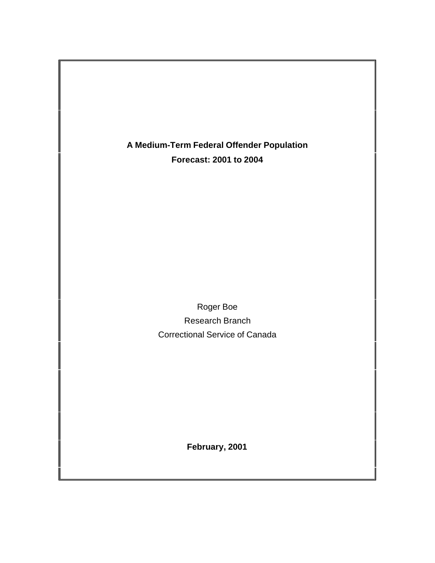**A Medium-Term Federal Offender Population Forecast: 2001 to 2004**

> Roger Boe Research Branch Correctional Service of Canada

> > **February, 2001**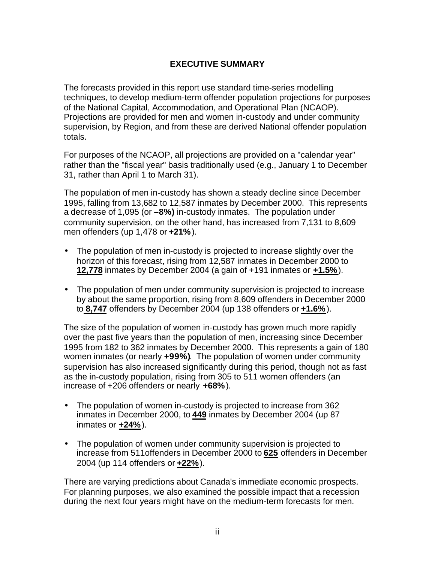# **EXECUTIVE SUMMARY**

The forecasts provided in this report use standard time-series modelling techniques, to develop medium-term offender population projections for purposes of the National Capital, Accommodation, and Operational Plan (NCAOP). Projections are provided for men and women in-custody and under community supervision, by Region, and from these are derived National offender population totals.

For purposes of the NCAOP, all projections are provided on a "calendar year" rather than the "fiscal year" basis traditionally used (e.g., January 1 to December 31, rather than April 1 to March 31).

The population of men in-custody has shown a steady decline since December 1995, falling from 13,682 to 12,587 inmates by December 2000. This represents a decrease of 1,095 (or **–8%)** in-custody inmates. The population under community supervision, on the other hand, has increased from 7,131 to 8,609 men offenders (up 1,478 or **+21%**).

- The population of men in-custody is projected to increase slightly over the horizon of this forecast, rising from 12,587 inmates in December 2000 to **12,778** inmates by December 2004 (a gain of +191 inmates or **+1.5%**).
- The population of men under community supervision is projected to increase by about the same proportion, rising from 8,609 offenders in December 2000 to **8,747** offenders by December 2004 (up 138 offenders or **+1.6%**).

The size of the population of women in-custody has grown much more rapidly over the past five years than the population of men, increasing since December 1995 from 182 to 362 inmates by December 2000. This represents a gain of 180 women inmates (or nearly **+99%)**. The population of women under community supervision has also increased significantly during this period, though not as fast as the in-custody population, rising from 305 to 511 women offenders (an increase of +206 offenders or nearly **+68%**).

- The population of women in-custody is projected to increase from 362 inmates in December 2000, to **449** inmates by December 2004 (up 87 inmates or **+24%**).
- The population of women under community supervision is projected to increase from 511offenders in December 2000 to **625** offenders in December 2004 (up 114 offenders or **+22%**).

There are varying predictions about Canada's immediate economic prospects. For planning purposes, we also examined the possible impact that a recession during the next four years might have on the medium-term forecasts for men.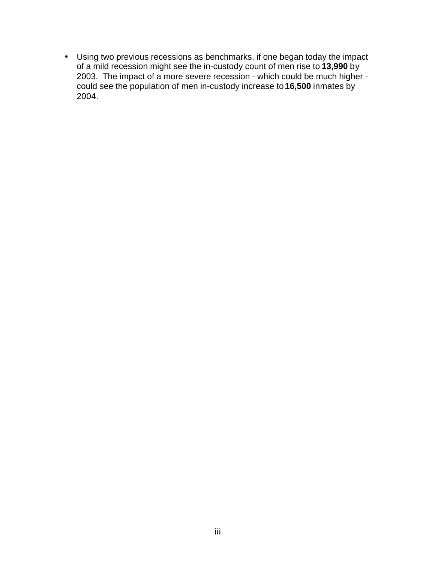• Using two previous recessions as benchmarks, if one began today the impact of a mild recession might see the in-custody count of men rise to **13,990** by 2003. The impact of a more severe recession - which could be much higher could see the population of men in-custody increase to **16,500** inmates by 2004.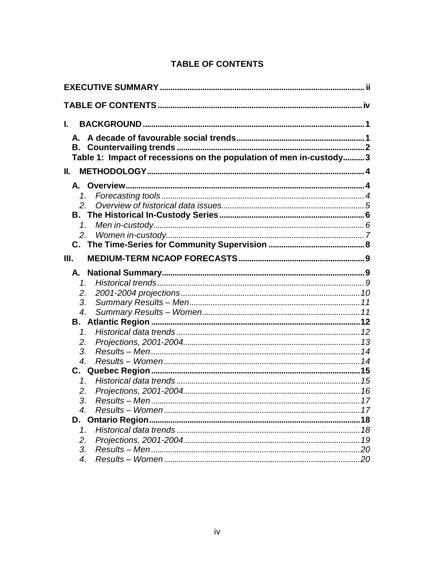# **TABLE OF CONTENTS**

| L.                                                                  |  |
|---------------------------------------------------------------------|--|
|                                                                     |  |
|                                                                     |  |
| Table 1: Impact of recessions on the population of men in-custody 3 |  |
| Ш.                                                                  |  |
|                                                                     |  |
|                                                                     |  |
|                                                                     |  |
|                                                                     |  |
| 1.                                                                  |  |
|                                                                     |  |
|                                                                     |  |
| III.                                                                |  |
| А.                                                                  |  |
| $\mathcal{I}_{-}$                                                   |  |
| 2.                                                                  |  |
| 3.                                                                  |  |
| $\overline{4}$ .                                                    |  |
|                                                                     |  |
| 1.                                                                  |  |
| 2.                                                                  |  |
| 3.                                                                  |  |
| $\boldsymbol{4}$ .                                                  |  |
|                                                                     |  |
| $\mathcal{I}_{-}$                                                   |  |
| 2.                                                                  |  |
| 3.                                                                  |  |
| $\boldsymbol{A}_{\cdot}$                                            |  |
|                                                                     |  |
| 1 <sub>1</sub>                                                      |  |
| 2.                                                                  |  |
| 3.<br>$\overline{4}$ .                                              |  |
|                                                                     |  |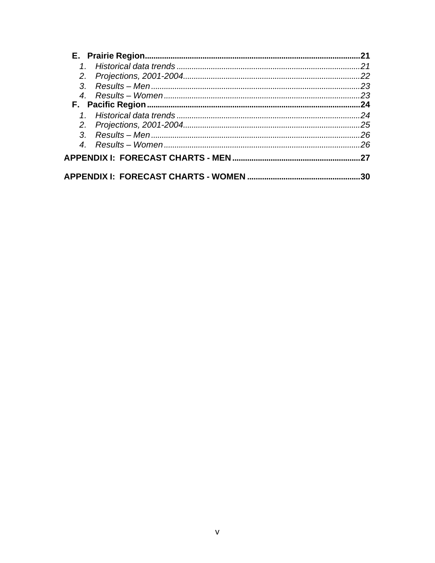|  | 21  |
|--|-----|
|  | 21  |
|  | 22  |
|  | 23  |
|  | .23 |
|  | 24  |
|  | 24  |
|  | 25  |
|  | .26 |
|  | 26  |
|  | 27  |
|  | 30  |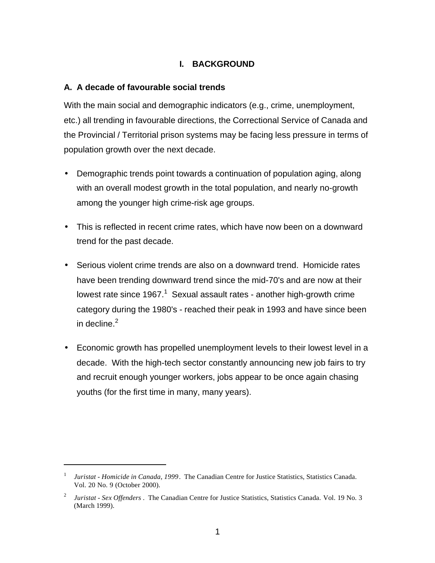### **I. BACKGROUND**

#### **A. A decade of favourable social trends**

With the main social and demographic indicators (e.g., crime, unemployment, etc.) all trending in favourable directions, the Correctional Service of Canada and the Provincial / Territorial prison systems may be facing less pressure in terms of population growth over the next decade.

- Demographic trends point towards a continuation of population aging, along with an overall modest growth in the total population, and nearly no-growth among the younger high crime-risk age groups.
- This is reflected in recent crime rates, which have now been on a downward trend for the past decade.
- Serious violent crime trends are also on a downward trend. Homicide rates have been trending downward trend since the mid-70's and are now at their lowest rate since 1967.<sup>1</sup> Sexual assault rates - another high-growth crime category during the 1980's - reached their peak in 1993 and have since been in decline. $<sup>2</sup>$ </sup>
- Economic growth has propelled unemployment levels to their lowest level in a decade. With the high-tech sector constantly announcing new job fairs to try and recruit enough younger workers, jobs appear to be once again chasing youths (for the first time in many, many years).

 $\overline{a}$ 

<sup>&</sup>lt;sup>1</sup> Juristat - Homicide in Canada, 1999. The Canadian Centre for Justice Statistics, Statistics Canada. Vol. 20 No. 9 (October 2000).

<sup>2</sup> *Juristat - Sex Offenders* . The Canadian Centre for Justice Statistics, Statistics Canada. Vol. 19 No. 3 (March 1999).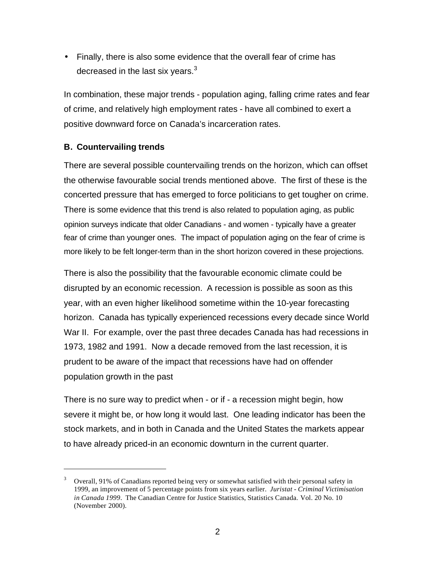• Finally, there is also some evidence that the overall fear of crime has decreased in the last six years. $3$ 

In combination, these major trends - population aging, falling crime rates and fear of crime, and relatively high employment rates - have all combined to exert a positive downward force on Canada's incarceration rates.

### **B. Countervailing trends**

 $\overline{a}$ 

There are several possible countervailing trends on the horizon, which can offset the otherwise favourable social trends mentioned above. The first of these is the concerted pressure that has emerged to force politicians to get tougher on crime. There is some evidence that this trend is also related to population aging, as public opinion surveys indicate that older Canadians - and women - typically have a greater fear of crime than younger ones. The impact of population aging on the fear of crime is more likely to be felt longer-term than in the short horizon covered in these projections.

There is also the possibility that the favourable economic climate could be disrupted by an economic recession. A recession is possible as soon as this year, with an even higher likelihood sometime within the 10-year forecasting horizon. Canada has typically experienced recessions every decade since World War II. For example, over the past three decades Canada has had recessions in 1973, 1982 and 1991. Now a decade removed from the last recession, it is prudent to be aware of the impact that recessions have had on offender population growth in the past

There is no sure way to predict when - or if - a recession might begin, how severe it might be, or how long it would last. One leading indicator has been the stock markets, and in both in Canada and the United States the markets appear to have already priced-in an economic downturn in the current quarter.

<sup>3</sup> Overall, 91% of Canadians reported being very or somewhat satisfied with their personal safety in 1999, an improvement of 5 percentage points from six years earlier. *Juristat - Criminal Victimisation in Canada 1999*. The Canadian Centre for Justice Statistics, Statistics Canada. Vol. 20 No. 10 (November 2000).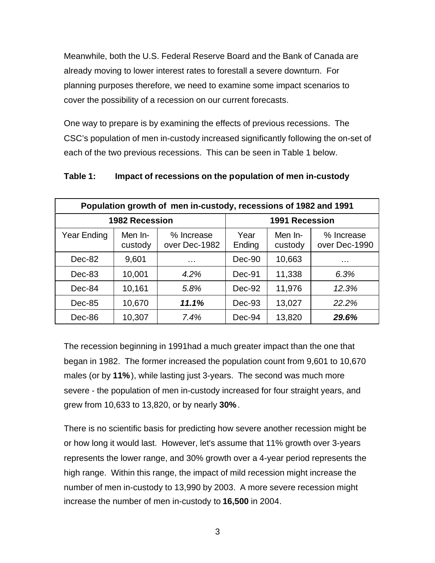Meanwhile, both the U.S. Federal Reserve Board and the Bank of Canada are already moving to lower interest rates to forestall a severe downturn. For planning purposes therefore, we need to examine some impact scenarios to cover the possibility of a recession on our current forecasts.

One way to prepare is by examining the effects of previous recessions. The CSC's population of men in-custody increased significantly following the on-set of each of the two previous recessions. This can be seen in Table 1 below.

| Table 1: | Impact of recessions on the population of men in-custody |  |  |
|----------|----------------------------------------------------------|--|--|
|----------|----------------------------------------------------------|--|--|

| Population growth of men in-custody, recessions of 1982 and 1991 |                       |                             |                |                       |                             |  |  |  |  |
|------------------------------------------------------------------|-----------------------|-----------------------------|----------------|-----------------------|-----------------------------|--|--|--|--|
|                                                                  | <b>1982 Recession</b> |                             |                | <b>1991 Recession</b> |                             |  |  |  |  |
| Year Ending                                                      | Men In-<br>custody    | % Increase<br>over Dec-1982 | Year<br>Ending | Men In-<br>custody    | % Increase<br>over Dec-1990 |  |  |  |  |
| Dec-82                                                           | 9,601                 | $\cdots$                    | $Dec-90$       | 10,663                | .                           |  |  |  |  |
| Dec-83                                                           | 10,001                | 4.2%                        | Dec-91         | 11,338                | 6.3%                        |  |  |  |  |
| Dec-84                                                           | 10,161                | 5.8%                        | Dec-92         | 11,976                | 12.3%                       |  |  |  |  |
| Dec-85                                                           | 10,670                | 11.1%                       | $Dec-93$       | 13,027                | 22.2%                       |  |  |  |  |
| Dec-86                                                           | 10,307                | 7.4%                        | Dec-94         | 13,820                | 29.6%                       |  |  |  |  |

The recession beginning in 1991had a much greater impact than the one that began in 1982. The former increased the population count from 9,601 to 10,670 males (or by **11%**), while lasting just 3-years. The second was much more severe - the population of men in-custody increased for four straight years, and grew from 10,633 to 13,820, or by nearly **30%**.

There is no scientific basis for predicting how severe another recession might be or how long it would last. However, let's assume that 11% growth over 3-years represents the lower range, and 30% growth over a 4-year period represents the high range. Within this range, the impact of mild recession might increase the number of men in-custody to 13,990 by 2003. A more severe recession might increase the number of men in-custody to **16,500** in 2004.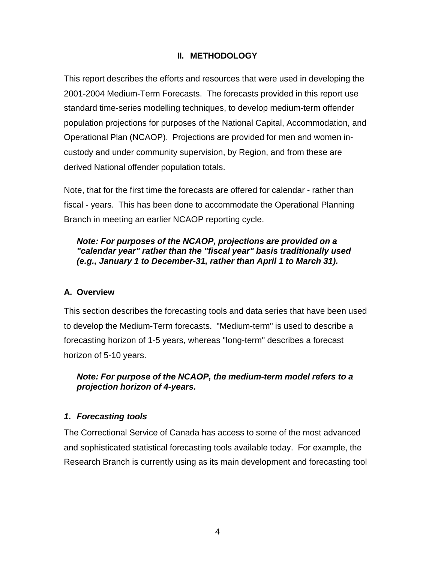# **II. METHODOLOGY**

This report describes the efforts and resources that were used in developing the 2001-2004 Medium-Term Forecasts. The forecasts provided in this report use standard time-series modelling techniques, to develop medium-term offender population projections for purposes of the National Capital, Accommodation, and Operational Plan (NCAOP). Projections are provided for men and women incustody and under community supervision, by Region, and from these are derived National offender population totals.

Note, that for the first time the forecasts are offered for calendar - rather than fiscal - years. This has been done to accommodate the Operational Planning Branch in meeting an earlier NCAOP reporting cycle.

### *Note: For purposes of the NCAOP, projections are provided on a "calendar year" rather than the "fiscal year" basis traditionally used (e.g., January 1 to December-31, rather than April 1 to March 31).*

#### **A. Overview**

This section describes the forecasting tools and data series that have been used to develop the Medium-Term forecasts. "Medium-term" is used to describe a forecasting horizon of 1-5 years, whereas "long-term" describes a forecast horizon of 5-10 years.

### *Note: For purpose of the NCAOP, the medium-term model refers to a projection horizon of 4-years.*

#### *1. Forecasting tools*

The Correctional Service of Canada has access to some of the most advanced and sophisticated statistical forecasting tools available today. For example, the Research Branch is currently using as its main development and forecasting tool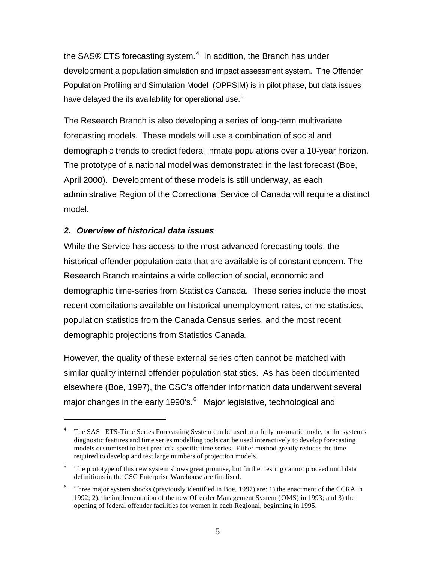the SAS® ETS forecasting system.<sup>4</sup> In addition, the Branch has under development a population simulation and impact assessment system. The Offender Population Profiling and Simulation Model (OPPSIM) is in pilot phase, but data issues have delayed the its availability for operational use.<sup>5</sup>

The Research Branch is also developing a series of long-term multivariate forecasting models. These models will use a combination of social and demographic trends to predict federal inmate populations over a 10-year horizon. The prototype of a national model was demonstrated in the last forecast (Boe, April 2000). Development of these models is still underway, as each administrative Region of the Correctional Service of Canada will require a distinct model.

# *2. Overview of historical data issues*

 $\overline{a}$ 

While the Service has access to the most advanced forecasting tools, the historical offender population data that are available is of constant concern. The Research Branch maintains a wide collection of social, economic and demographic time-series from Statistics Canada. These series include the most recent compilations available on historical unemployment rates, crime statistics, population statistics from the Canada Census series, and the most recent demographic projections from Statistics Canada.

However, the quality of these external series often cannot be matched with similar quality internal offender population statistics. As has been documented elsewhere (Boe, 1997), the CSC's offender information data underwent several major changes in the early 1990's.<sup>6</sup> Major legislative, technological and

<sup>4</sup> The SAS ETS-Time Series Forecasting System can be used in a fully automatic mode, or the system's diagnostic features and time series modelling tools can be used interactively to develop forecasting models customised to best predict a specific time series. Either method greatly reduces the time required to develop and test large numbers of projection models.

<sup>5</sup> The prototype of this new system shows great promise, but further testing cannot proceed until data definitions in the CSC Enterprise Warehouse are finalised.

<sup>6</sup> Three major system shocks (previously identified in Boe, 1997) are: 1) the enactment of the CCRA in 1992; 2). the implementation of the new Offender Management System (OMS) in 1993; and 3) the opening of federal offender facilities for women in each Regional, beginning in 1995.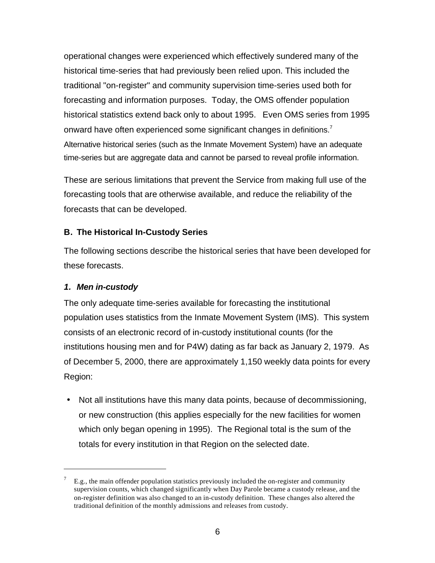operational changes were experienced which effectively sundered many of the historical time-series that had previously been relied upon. This included the traditional "on-register" and community supervision time-series used both for forecasting and information purposes. Today, the OMS offender population historical statistics extend back only to about 1995. Even OMS series from 1995 onward have often experienced some significant changes in definitions.<sup>7</sup> Alternative historical series (such as the Inmate Movement System) have an adequate time-series but are aggregate data and cannot be parsed to reveal profile information.

These are serious limitations that prevent the Service from making full use of the forecasting tools that are otherwise available, and reduce the reliability of the forecasts that can be developed.

# **B. The Historical In-Custody Series**

The following sections describe the historical series that have been developed for these forecasts.

### *1. Men in-custody*

 $\overline{a}$ 

The only adequate time-series available for forecasting the institutional population uses statistics from the Inmate Movement System (IMS). This system consists of an electronic record of in-custody institutional counts (for the institutions housing men and for P4W) dating as far back as January 2, 1979. As of December 5, 2000, there are approximately 1,150 weekly data points for every Region:

• Not all institutions have this many data points, because of decommissioning, or new construction (this applies especially for the new facilities for women which only began opening in 1995). The Regional total is the sum of the totals for every institution in that Region on the selected date.

<sup>7</sup> E.g., the main offender population statistics previously included the on-register and community supervision counts, which changed significantly when Day Parole became a custody release, and the on-register definition was also changed to an in-custody definition. These changes also altered the traditional definition of the monthly admissions and releases from custody.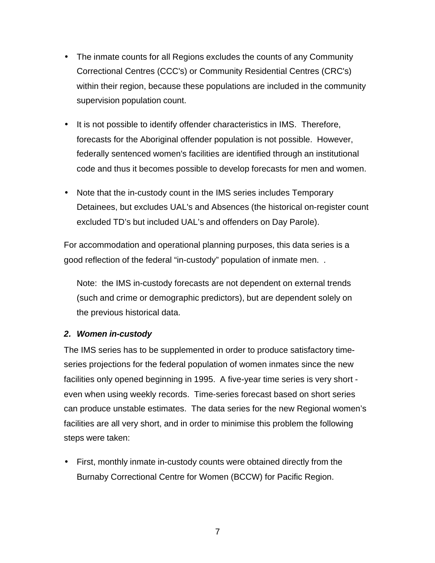- The inmate counts for all Regions excludes the counts of any Community Correctional Centres (CCC's) or Community Residential Centres (CRC's) within their region, because these populations are included in the community supervision population count.
- It is not possible to identify offender characteristics in IMS. Therefore, forecasts for the Aboriginal offender population is not possible. However, federally sentenced women's facilities are identified through an institutional code and thus it becomes possible to develop forecasts for men and women.
- Note that the in-custody count in the IMS series includes Temporary Detainees, but excludes UAL's and Absences (the historical on-register count excluded TD's but included UAL's and offenders on Day Parole).

For accommodation and operational planning purposes, this data series is a good reflection of the federal "in-custody" population of inmate men. .

Note: the IMS in-custody forecasts are not dependent on external trends (such and crime or demographic predictors), but are dependent solely on the previous historical data.

### *2. Women in-custody*

The IMS series has to be supplemented in order to produce satisfactory timeseries projections for the federal population of women inmates since the new facilities only opened beginning in 1995. A five-year time series is very short even when using weekly records. Time-series forecast based on short series can produce unstable estimates. The data series for the new Regional women's facilities are all very short, and in order to minimise this problem the following steps were taken:

• First, monthly inmate in-custody counts were obtained directly from the Burnaby Correctional Centre for Women (BCCW) for Pacific Region.

7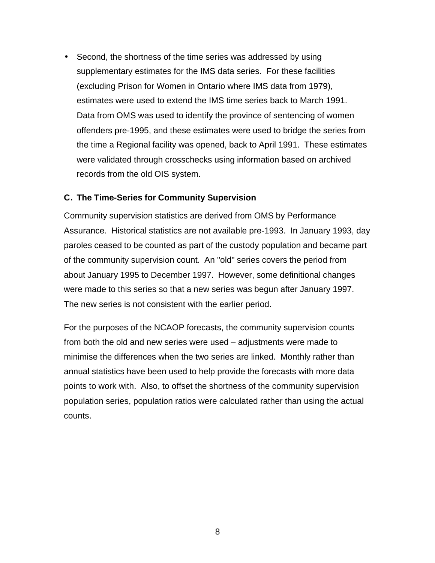• Second, the shortness of the time series was addressed by using supplementary estimates for the IMS data series. For these facilities (excluding Prison for Women in Ontario where IMS data from 1979), estimates were used to extend the IMS time series back to March 1991. Data from OMS was used to identify the province of sentencing of women offenders pre-1995, and these estimates were used to bridge the series from the time a Regional facility was opened, back to April 1991. These estimates were validated through crosschecks using information based on archived records from the old OIS system.

#### **C. The Time-Series for Community Supervision**

Community supervision statistics are derived from OMS by Performance Assurance. Historical statistics are not available pre-1993. In January 1993, day paroles ceased to be counted as part of the custody population and became part of the community supervision count. An "old" series covers the period from about January 1995 to December 1997. However, some definitional changes were made to this series so that a new series was begun after January 1997. The new series is not consistent with the earlier period.

For the purposes of the NCAOP forecasts, the community supervision counts from both the old and new series were used – adjustments were made to minimise the differences when the two series are linked. Monthly rather than annual statistics have been used to help provide the forecasts with more data points to work with. Also, to offset the shortness of the community supervision population series, population ratios were calculated rather than using the actual counts.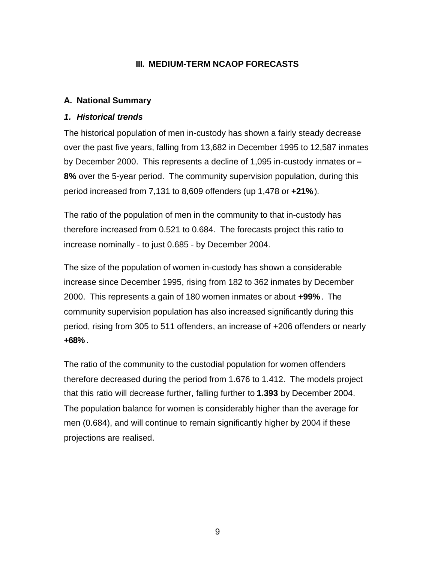### **III. MEDIUM-TERM NCAOP FORECASTS**

### **A. National Summary**

#### *1. Historical trends*

The historical population of men in-custody has shown a fairly steady decrease over the past five years, falling from 13,682 in December 1995 to 12,587 inmates by December 2000. This represents a decline of 1,095 in-custody inmates or **– 8%** over the 5-year period. The community supervision population, during this period increased from 7,131 to 8,609 offenders (up 1,478 or **+21%**).

The ratio of the population of men in the community to that in-custody has therefore increased from 0.521 to 0.684. The forecasts project this ratio to increase nominally - to just 0.685 - by December 2004.

The size of the population of women in-custody has shown a considerable increase since December 1995, rising from 182 to 362 inmates by December 2000. This represents a gain of 180 women inmates or about **+99%**. The community supervision population has also increased significantly during this period, rising from 305 to 511 offenders, an increase of +206 offenders or nearly **+68%** .

The ratio of the community to the custodial population for women offenders therefore decreased during the period from 1.676 to 1.412. The models project that this ratio will decrease further, falling further to **1.393** by December 2004. The population balance for women is considerably higher than the average for men (0.684), and will continue to remain significantly higher by 2004 if these projections are realised.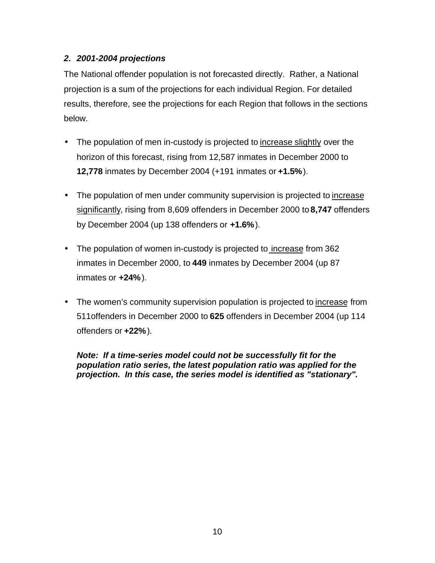# *2. 2001-2004 projections*

The National offender population is not forecasted directly. Rather, a National projection is a sum of the projections for each individual Region. For detailed results, therefore, see the projections for each Region that follows in the sections below.

- The population of men in-custody is projected to increase slightly over the horizon of this forecast, rising from 12,587 inmates in December 2000 to **12,778** inmates by December 2004 (+191 inmates or **+1.5%**).
- The population of men under community supervision is projected to increase significantly, rising from 8,609 offenders in December 2000 to **8,747** offenders by December 2004 (up 138 offenders or **+1.6%**).
- The population of women in-custody is projected to increase from 362 inmates in December 2000, to **449** inmates by December 2004 (up 87 inmates or **+24%**).
- The women's community supervision population is projected to increase from 511offenders in December 2000 to **625** offenders in December 2004 (up 114 offenders or **+22%**).

*Note: If a time-series model could not be successfully fit for the population ratio series, the latest population ratio was applied for the projection. In this case, the series model is identified as "stationary".*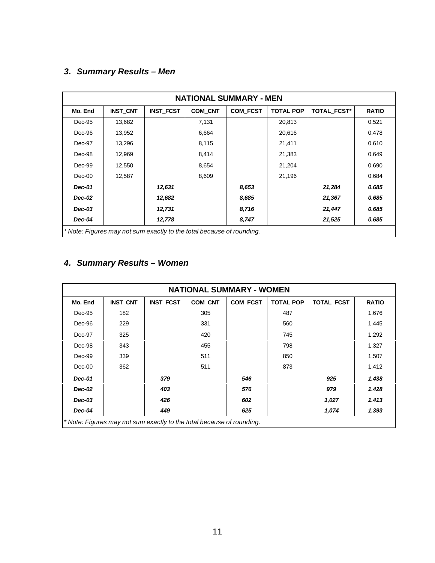# *3. Summary Results – Men*

| <b>NATIONAL SUMMARY - MEN</b> |                                                                       |                  |                |                 |                  |                    |              |  |  |
|-------------------------------|-----------------------------------------------------------------------|------------------|----------------|-----------------|------------------|--------------------|--------------|--|--|
| Mo. End                       | <b>INST CNT</b>                                                       | <b>INST FCST</b> | <b>COM CNT</b> | <b>COM FCST</b> | <b>TOTAL POP</b> | <b>TOTAL FCST*</b> | <b>RATIO</b> |  |  |
| Dec-95                        | 13,682                                                                |                  | 7,131          |                 | 20,813           |                    | 0.521        |  |  |
| Dec-96                        | 13,952                                                                |                  | 6,664          |                 | 20,616           |                    | 0.478        |  |  |
| Dec-97                        | 13,296                                                                |                  | 8,115          |                 | 21,411           |                    | 0.610        |  |  |
| Dec-98                        | 12,969                                                                |                  | 8,414          |                 | 21,383           |                    | 0.649        |  |  |
| Dec-99                        | 12,550                                                                |                  | 8,654          |                 | 21,204           |                    | 0.690        |  |  |
| $Dec-00$                      | 12,587                                                                |                  | 8,609          |                 | 21,196           |                    | 0.684        |  |  |
| <b>Dec-01</b>                 |                                                                       | 12,631           |                | 8,653           |                  | 21,284             | 0.685        |  |  |
| Dec-02                        |                                                                       | 12,682           |                | 8,685           |                  | 21,367             | 0.685        |  |  |
| $Dec-03$                      |                                                                       | 12,731           |                | 8,716           |                  | 21,447             | 0.685        |  |  |
| Dec-04                        |                                                                       | 12,778           |                | 8,747           |                  | 21,525             | 0.685        |  |  |
|                               | * Note: Figures may not sum exactly to the total because of rounding. |                  |                |                 |                  |                    |              |  |  |

# *4. Summary Results – Women*

| <b>NATIONAL SUMMARY - WOMEN</b> |                                                                       |                  |                |                 |                  |            |              |  |  |
|---------------------------------|-----------------------------------------------------------------------|------------------|----------------|-----------------|------------------|------------|--------------|--|--|
| Mo. End                         | <b>INST CNT</b>                                                       | <b>INST FCST</b> | <b>COM CNT</b> | <b>COM FCST</b> | <b>TOTAL POP</b> | TOTAL_FCST | <b>RATIO</b> |  |  |
| Dec-95                          | 182                                                                   |                  | 305            |                 | 487              |            | 1.676        |  |  |
| Dec-96                          | 229                                                                   |                  | 331            |                 | 560              |            | 1.445        |  |  |
| Dec-97                          | 325                                                                   |                  | 420            |                 | 745              |            | 1.292        |  |  |
| Dec-98                          | 343                                                                   |                  | 455            |                 | 798              |            | 1.327        |  |  |
| Dec-99                          | 339                                                                   |                  | 511            |                 | 850              |            | 1.507        |  |  |
| $Dec-00$                        | 362                                                                   |                  | 511            |                 | 873              |            | 1.412        |  |  |
| Dec-01                          |                                                                       | 379              |                | 546             |                  | 925        | 1.438        |  |  |
| <b>Dec-02</b>                   |                                                                       | 403              |                | 576             |                  | 979        | 1.428        |  |  |
| $Dec-03$                        |                                                                       | 426              |                | 602             |                  | 1,027      | 1.413        |  |  |
| Dec-04                          |                                                                       | 449              |                | 625             |                  | 1,074      | 1.393        |  |  |
|                                 | * Note: Figures may not sum exactly to the total because of rounding. |                  |                |                 |                  |            |              |  |  |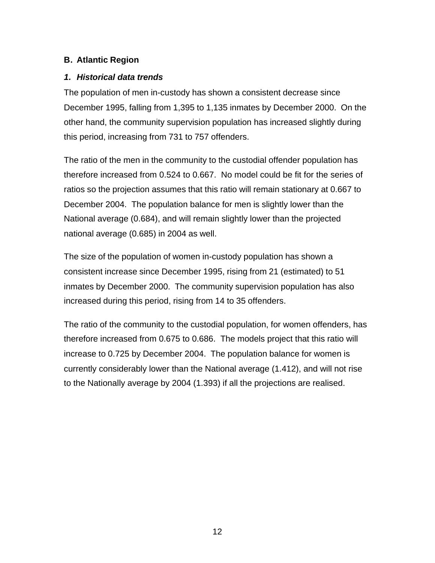## **B. Atlantic Region**

### *1. Historical data trends*

The population of men in-custody has shown a consistent decrease since December 1995, falling from 1,395 to 1,135 inmates by December 2000. On the other hand, the community supervision population has increased slightly during this period, increasing from 731 to 757 offenders.

The ratio of the men in the community to the custodial offender population has therefore increased from 0.524 to 0.667. No model could be fit for the series of ratios so the projection assumes that this ratio will remain stationary at 0.667 to December 2004. The population balance for men is slightly lower than the National average (0.684), and will remain slightly lower than the projected national average (0.685) in 2004 as well.

The size of the population of women in-custody population has shown a consistent increase since December 1995, rising from 21 (estimated) to 51 inmates by December 2000. The community supervision population has also increased during this period, rising from 14 to 35 offenders.

The ratio of the community to the custodial population, for women offenders, has therefore increased from 0.675 to 0.686. The models project that this ratio will increase to 0.725 by December 2004. The population balance for women is currently considerably lower than the National average (1.412), and will not rise to the Nationally average by 2004 (1.393) if all the projections are realised.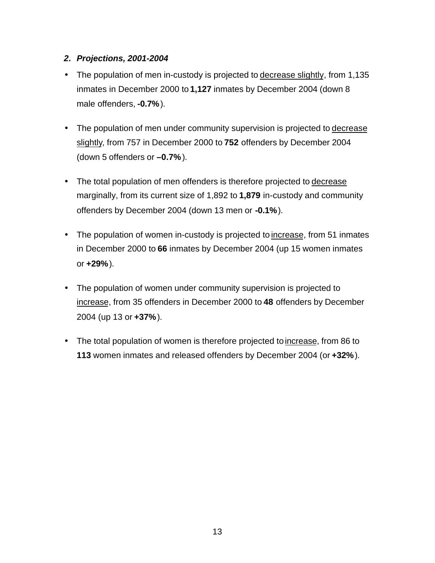### *2. Projections, 2001-2004*

- The population of men in-custody is projected to decrease slightly, from 1,135 inmates in December 2000 to **1,127** inmates by December 2004 (down 8 male offenders, **-0.7%**).
- The population of men under community supervision is projected to decrease slightly, from 757 in December 2000 to **752** offenders by December 2004 (down 5 offenders or **–0.7%**).
- The total population of men offenders is therefore projected to decrease marginally, from its current size of 1,892 to **1,879** in-custody and community offenders by December 2004 (down 13 men or **-0.1%**).
- The population of women in-custody is projected to increase, from 51 inmates in December 2000 to **66** inmates by December 2004 (up 15 women inmates or **+29%**).
- The population of women under community supervision is projected to increase, from 35 offenders in December 2000 to **48** offenders by December 2004 (up 13 or **+37%**).
- The total population of women is therefore projected to increase, from 86 to **113** women inmates and released offenders by December 2004 (or **+32%**).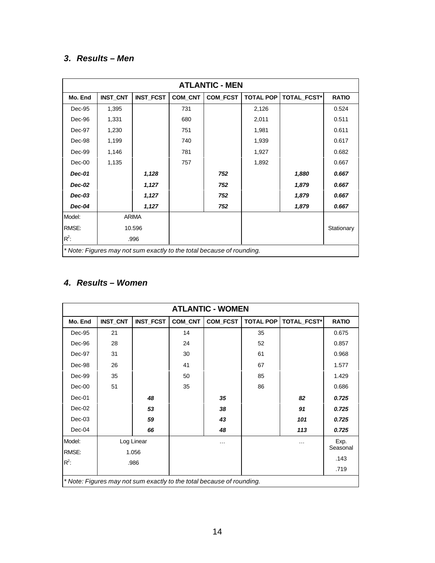# *3. Results – Men*

|               | <b>ATLANTIC - MEN</b> |                  |         |                                                                       |                  |                    |              |  |  |  |
|---------------|-----------------------|------------------|---------|-----------------------------------------------------------------------|------------------|--------------------|--------------|--|--|--|
| Mo. End       | <b>INST_CNT</b>       | <b>INST_FCST</b> | COM_CNT | COM_FCST                                                              | <b>TOTAL POP</b> | <b>TOTAL FCST*</b> | <b>RATIO</b> |  |  |  |
| Dec-95        | 1,395                 |                  | 731     |                                                                       | 2,126            |                    | 0.524        |  |  |  |
| Dec-96        | 1,331                 |                  | 680     |                                                                       | 2,011            |                    | 0.511        |  |  |  |
| Dec-97        | 1,230                 |                  | 751     |                                                                       | 1,981            |                    | 0.611        |  |  |  |
| Dec-98        | 1,199                 |                  | 740     |                                                                       | 1,939            |                    | 0.617        |  |  |  |
| Dec-99        | 1,146                 |                  | 781     |                                                                       | 1,927            |                    | 0.682        |  |  |  |
| $Dec-00$      | 1,135                 |                  | 757     |                                                                       | 1,892            |                    | 0.667        |  |  |  |
| <b>Dec-01</b> |                       | 1,128            |         | 752                                                                   |                  | 1,880              | 0.667        |  |  |  |
| <b>Dec-02</b> |                       | 1,127            |         | 752                                                                   |                  | 1,879              | 0.667        |  |  |  |
| $Dec-03$      |                       | 1,127            |         | 752                                                                   |                  | 1,879              | 0.667        |  |  |  |
| Dec-04        |                       | 1,127            |         | 752                                                                   |                  | 1,879              | 0.667        |  |  |  |
| Model:        |                       | <b>ARIMA</b>     |         |                                                                       |                  |                    |              |  |  |  |
| RMSE:         |                       | 10.596           |         |                                                                       |                  |                    | Stationary   |  |  |  |
| $R^2$ :       |                       | .996             |         |                                                                       |                  |                    |              |  |  |  |
|               |                       |                  |         | * Note: Figures may not sum exactly to the total because of rounding. |                  |                    |              |  |  |  |

# *4. Results – Women*

| <b>ATLANTIC - WOMEN</b> |                 |                  |         |                                                                       |                  |             |                  |  |  |
|-------------------------|-----------------|------------------|---------|-----------------------------------------------------------------------|------------------|-------------|------------------|--|--|
| Mo. End                 | <b>INST_CNT</b> | <b>INST_FCST</b> | COM_CNT | COM_FCST                                                              | <b>TOTAL POP</b> | TOTAL_FCST* | <b>RATIO</b>     |  |  |
| Dec-95                  | 21              |                  | 14      |                                                                       | 35               |             | 0.675            |  |  |
| Dec-96                  | 28              |                  | 24      |                                                                       | 52               |             | 0.857            |  |  |
| Dec-97                  | 31              |                  | 30      |                                                                       | 61               |             | 0.968            |  |  |
| Dec-98                  | 26              |                  | 41      |                                                                       | 67               |             | 1.577            |  |  |
| Dec-99                  | 35              |                  | 50      |                                                                       | 85               |             | 1.429            |  |  |
| $Dec-00$                | 51              |                  | 35      |                                                                       | 86               |             | 0.686            |  |  |
| Dec-01                  |                 | 48               |         | 35                                                                    |                  | 82          | 0.725            |  |  |
| $Dec-02$                |                 | 53               |         | 38                                                                    |                  | 91          | 0.725            |  |  |
| $Dec-03$                |                 | 59               |         | 43                                                                    |                  | 101         | 0.725            |  |  |
| Dec-04                  |                 | 66               |         | 48                                                                    |                  | 113         | 0.725            |  |  |
| Model:                  |                 | Log Linear       |         | $\cdots$                                                              |                  | $\cdots$    | Exp.<br>Seasonal |  |  |
| RMSE:                   |                 | 1.056            |         |                                                                       |                  |             |                  |  |  |
| $R^2$ :                 |                 | .986             |         |                                                                       |                  |             | .143             |  |  |
|                         |                 |                  |         |                                                                       |                  |             | .719             |  |  |
|                         |                 |                  |         | * Note: Figures may not sum exactly to the total because of rounding. |                  |             |                  |  |  |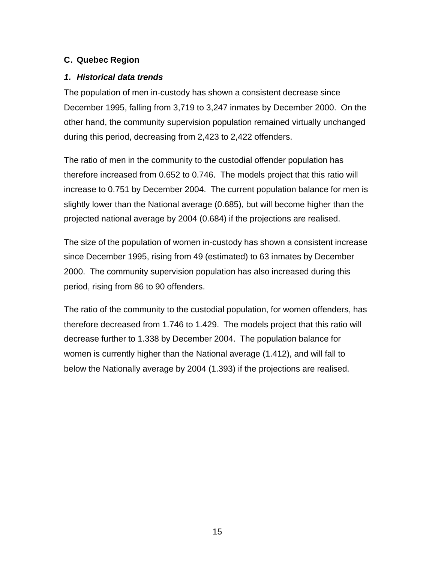## **C. Quebec Region**

### *1. Historical data trends*

The population of men in-custody has shown a consistent decrease since December 1995, falling from 3,719 to 3,247 inmates by December 2000. On the other hand, the community supervision population remained virtually unchanged during this period, decreasing from 2,423 to 2,422 offenders.

The ratio of men in the community to the custodial offender population has therefore increased from 0.652 to 0.746. The models project that this ratio will increase to 0.751 by December 2004. The current population balance for men is slightly lower than the National average (0.685), but will become higher than the projected national average by 2004 (0.684) if the projections are realised.

The size of the population of women in-custody has shown a consistent increase since December 1995, rising from 49 (estimated) to 63 inmates by December 2000. The community supervision population has also increased during this period, rising from 86 to 90 offenders.

The ratio of the community to the custodial population, for women offenders, has therefore decreased from 1.746 to 1.429. The models project that this ratio will decrease further to 1.338 by December 2004. The population balance for women is currently higher than the National average (1.412), and will fall to below the Nationally average by 2004 (1.393) if the projections are realised.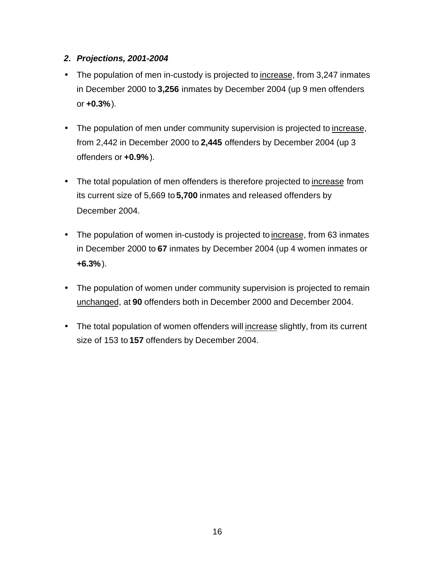## *2. Projections, 2001-2004*

- The population of men in-custody is projected to increase, from 3,247 inmates in December 2000 to **3,256** inmates by December 2004 (up 9 men offenders or **+0.3%**).
- The population of men under community supervision is projected to increase, from 2,442 in December 2000 to **2,445** offenders by December 2004 (up 3 offenders or **+0.9%**).
- The total population of men offenders is therefore projected to increase from its current size of 5,669 to **5,700** inmates and released offenders by December 2004.
- The population of women in-custody is projected to increase, from 63 inmates in December 2000 to **67** inmates by December 2004 (up 4 women inmates or **+6.3%**).
- The population of women under community supervision is projected to remain unchanged, at **90** offenders both in December 2000 and December 2004.
- The total population of women offenders will increase slightly, from its current size of 153 to **157** offenders by December 2004.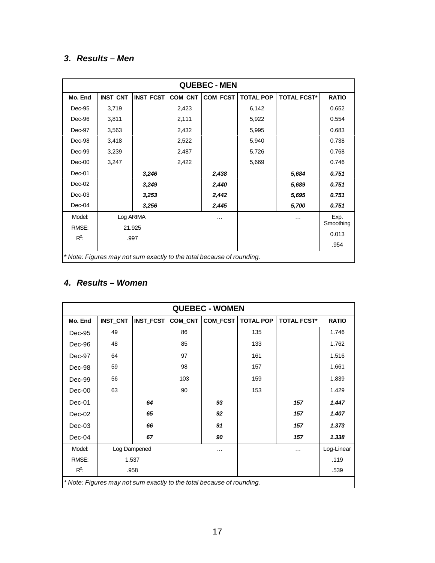# *3. Results – Men*

|          | <b>QUEBEC - MEN</b> |                  |         |                                                                       |                  |                    |              |  |  |  |
|----------|---------------------|------------------|---------|-----------------------------------------------------------------------|------------------|--------------------|--------------|--|--|--|
| Mo. End  | <b>INST_CNT</b>     | <b>INST_FCST</b> | COM_CNT | COM_FCST                                                              | <b>TOTAL POP</b> | <b>TOTAL FCST*</b> | <b>RATIO</b> |  |  |  |
| Dec-95   | 3,719               |                  | 2,423   |                                                                       | 6,142            |                    | 0.652        |  |  |  |
| Dec-96   | 3,811               |                  | 2,111   |                                                                       | 5,922            |                    | 0.554        |  |  |  |
| Dec-97   | 3,563               |                  | 2,432   |                                                                       | 5,995            |                    | 0.683        |  |  |  |
| Dec-98   | 3,418               |                  | 2,522   |                                                                       | 5,940            |                    | 0.738        |  |  |  |
| Dec-99   | 3,239               |                  | 2,487   |                                                                       | 5,726            |                    | 0.768        |  |  |  |
| Dec-00   | 3,247               |                  | 2,422   |                                                                       | 5,669            |                    | 0.746        |  |  |  |
| $Dec-01$ |                     | 3,246            |         | 2,438                                                                 |                  | 5,684              | 0.751        |  |  |  |
| $Dec-02$ |                     | 3,249            |         | 2,440                                                                 |                  | 5,689              | 0.751        |  |  |  |
| $Dec-03$ |                     | 3,253            |         | 2,442                                                                 |                  | 5,695              | 0.751        |  |  |  |
| $Dec-04$ |                     | 3,256            |         | 2,445                                                                 |                  | 5,700              | 0.751        |  |  |  |
| Model:   | Log ARIMA           |                  |         | .                                                                     |                  | $\cdots$           | Exp.         |  |  |  |
| RMSE:    |                     | 21.925           |         |                                                                       |                  |                    | Smoothing    |  |  |  |
| $R^2$ :  |                     | .997             |         |                                                                       |                  |                    | 0.013        |  |  |  |
|          |                     |                  |         |                                                                       |                  |                    | .954         |  |  |  |
|          |                     |                  |         | * Note: Figures may not sum exactly to the total because of rounding. |                  |                    |              |  |  |  |

# *4. Results – Women*

| <b>QUEBEC - WOMEN</b> |                 |              |         |                                                                       |                  |                    |              |  |  |
|-----------------------|-----------------|--------------|---------|-----------------------------------------------------------------------|------------------|--------------------|--------------|--|--|
| Mo. End               | <b>INST_CNT</b> | INST_FCST    | COM_CNT | COM_FCST                                                              | <b>TOTAL POP</b> | <b>TOTAL FCST*</b> | <b>RATIO</b> |  |  |
| Dec-95                | 49              |              | 86      |                                                                       | 135              |                    | 1.746        |  |  |
| Dec-96                | 48              |              | 85      |                                                                       | 133              |                    | 1.762        |  |  |
| Dec-97                | 64              |              | 97      |                                                                       | 161              |                    | 1.516        |  |  |
| Dec-98                | 59              |              | 98      |                                                                       | 157              |                    | 1.661        |  |  |
| Dec-99                | 56              |              | 103     |                                                                       | 159              |                    | 1.839        |  |  |
| $Dec-00$              | 63              |              | 90      |                                                                       | 153              |                    | 1.429        |  |  |
| Dec-01                |                 | 64           |         | 93                                                                    |                  | 157                | 1.447        |  |  |
| Dec-02                |                 | 65           |         | 92                                                                    |                  | 157                | 1.407        |  |  |
| Dec-03                |                 | 66           |         | 91                                                                    |                  | 157                | 1.373        |  |  |
| Dec-04                |                 | 67           |         | 90                                                                    |                  | 157                | 1.338        |  |  |
| Model:                |                 | Log Dampened |         | $\cdots$                                                              |                  | $\cdots$           | Log-Linear   |  |  |
| RMSE:                 |                 | 1.537        |         |                                                                       |                  |                    | .119         |  |  |
| $R^2$ :               |                 | .958         |         |                                                                       |                  |                    | .539         |  |  |
|                       |                 |              |         | * Note: Figures may not sum exactly to the total because of rounding. |                  |                    |              |  |  |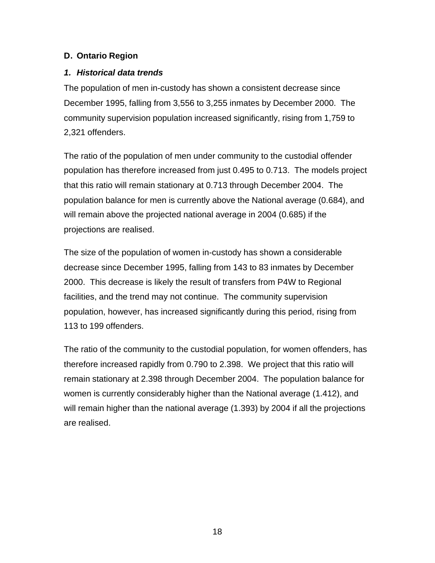## **D. Ontario Region**

# *1. Historical data trends*

The population of men in-custody has shown a consistent decrease since December 1995, falling from 3,556 to 3,255 inmates by December 2000. The community supervision population increased significantly, rising from 1,759 to 2,321 offenders.

The ratio of the population of men under community to the custodial offender population has therefore increased from just 0.495 to 0.713. The models project that this ratio will remain stationary at 0.713 through December 2004. The population balance for men is currently above the National average (0.684), and will remain above the projected national average in 2004 (0.685) if the projections are realised.

The size of the population of women in-custody has shown a considerable decrease since December 1995, falling from 143 to 83 inmates by December 2000. This decrease is likely the result of transfers from P4W to Regional facilities, and the trend may not continue. The community supervision population, however, has increased significantly during this period, rising from 113 to 199 offenders.

The ratio of the community to the custodial population, for women offenders, has therefore increased rapidly from 0.790 to 2.398. We project that this ratio will remain stationary at 2.398 through December 2004. The population balance for women is currently considerably higher than the National average (1.412), and will remain higher than the national average (1.393) by 2004 if all the projections are realised.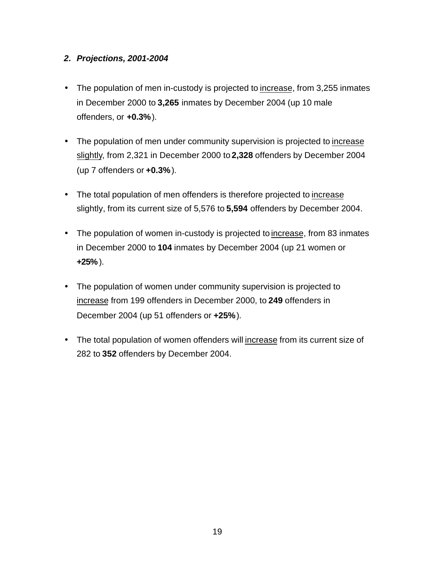### *2. Projections, 2001-2004*

- The population of men in-custody is projected to increase, from 3,255 inmates in December 2000 to **3,265** inmates by December 2004 (up 10 male offenders, or **+0.3%**).
- The population of men under community supervision is projected to increase slightly, from 2,321 in December 2000 to **2,328** offenders by December 2004 (up 7 offenders or **+0.3%**).
- The total population of men offenders is therefore projected to increase slightly, from its current size of 5,576 to **5,594** offenders by December 2004.
- The population of women in-custody is projected to increase, from 83 inmates in December 2000 to **104** inmates by December 2004 (up 21 women or **+25%** ).
- The population of women under community supervision is projected to increase from 199 offenders in December 2000, to **249** offenders in December 2004 (up 51 offenders or **+25%**).
- The total population of women offenders will increase from its current size of 282 to **352** offenders by December 2004.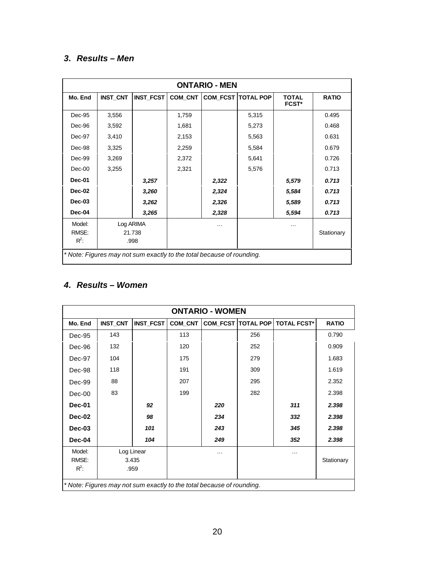# *3. Results – Men*

|          | <b>ONTARIO - MEN</b> |                  |         |                                                                       |                             |                              |              |  |  |  |
|----------|----------------------|------------------|---------|-----------------------------------------------------------------------|-----------------------------|------------------------------|--------------|--|--|--|
| Mo. End  | <b>INST_CNT</b>      | <b>INST_FCST</b> | COM CNT |                                                                       | <b>COM_FCST   TOTAL POP</b> | <b>TOTAL</b><br><b>FCST*</b> | <b>RATIO</b> |  |  |  |
| Dec-95   | 3,556                |                  | 1,759   |                                                                       | 5,315                       |                              | 0.495        |  |  |  |
| Dec-96   | 3,592                |                  | 1,681   |                                                                       | 5,273                       |                              | 0.468        |  |  |  |
| Dec-97   | 3,410                |                  | 2,153   |                                                                       | 5,563                       |                              | 0.631        |  |  |  |
| Dec-98   | 3,325                |                  | 2,259   |                                                                       | 5,584                       |                              | 0.679        |  |  |  |
| Dec-99   | 3,269                |                  | 2,372   |                                                                       | 5,641                       |                              | 0.726        |  |  |  |
| $Dec-00$ | 3,255                |                  | 2,321   |                                                                       | 5,576                       |                              | 0.713        |  |  |  |
| Dec-01   |                      | 3,257            |         | 2,322                                                                 |                             | 5,579                        | 0.713        |  |  |  |
| Dec-02   |                      | 3,260            |         | 2,324                                                                 |                             | 5,584                        | 0.713        |  |  |  |
| Dec-03   |                      | 3,262            |         | 2,326                                                                 |                             | 5,589                        | 0.713        |  |  |  |
| Dec-04   |                      | 3,265            |         | 2,328                                                                 |                             | 5,594                        | 0.713        |  |  |  |
| Model:   |                      | Log ARIMA        |         | .                                                                     |                             | $\cdots$                     |              |  |  |  |
| RMSE:    |                      | 21.738           |         |                                                                       |                             |                              | Stationary   |  |  |  |
| $R^2$ :  |                      | .998             |         |                                                                       |                             |                              |              |  |  |  |
|          |                      |                  |         | * Note: Figures may not sum exactly to the total because of rounding. |                             |                              |              |  |  |  |

# *4. Results – Women*

|                            | <b>ONTARIO - WOMEN</b> |                             |         |                                                                       |                      |                    |              |  |  |  |
|----------------------------|------------------------|-----------------------------|---------|-----------------------------------------------------------------------|----------------------|--------------------|--------------|--|--|--|
| Mo. End                    | <b>INST_CNT</b>        | INST_FCST                   | COM_CNT |                                                                       | COM_FCST   TOTAL POP | <b>TOTAL FCST*</b> | <b>RATIO</b> |  |  |  |
| Dec-95                     | 143                    |                             | 113     |                                                                       | 256                  |                    | 0.790        |  |  |  |
| Dec-96                     | 132                    |                             | 120     |                                                                       | 252                  |                    | 0.909        |  |  |  |
| Dec-97                     | 104                    |                             | 175     |                                                                       | 279                  |                    | 1.683        |  |  |  |
| Dec-98                     | 118                    |                             | 191     |                                                                       | 309                  |                    | 1.619        |  |  |  |
| Dec-99                     | 88                     |                             | 207     |                                                                       | 295                  |                    | 2.352        |  |  |  |
| Dec-00                     | 83                     |                             | 199     |                                                                       | 282                  |                    | 2.398        |  |  |  |
| <b>Dec-01</b>              |                        | 92                          |         | 220                                                                   |                      | 311                | 2.398        |  |  |  |
| Dec-02                     |                        | 98                          |         | 234                                                                   |                      | 332                | 2.398        |  |  |  |
| Dec-03                     |                        | 101                         |         | 243                                                                   |                      | 345                | 2.398        |  |  |  |
| Dec-04                     |                        | 104                         |         | 249                                                                   |                      | 352                | 2.398        |  |  |  |
| Model:<br>RMSE:<br>$R^2$ : |                        | Log Linear<br>3.435<br>.959 |         | $\cdots$                                                              |                      | .                  | Stationary   |  |  |  |
|                            |                        |                             |         | * Note: Figures may not sum exactly to the total because of rounding. |                      |                    |              |  |  |  |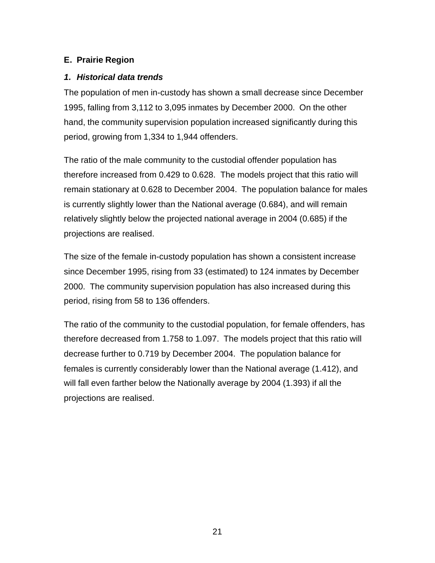# **E. Prairie Region**

### *1. Historical data trends*

The population of men in-custody has shown a small decrease since December 1995, falling from 3,112 to 3,095 inmates by December 2000. On the other hand, the community supervision population increased significantly during this period, growing from 1,334 to 1,944 offenders.

The ratio of the male community to the custodial offender population has therefore increased from 0.429 to 0.628. The models project that this ratio will remain stationary at 0.628 to December 2004. The population balance for males is currently slightly lower than the National average (0.684), and will remain relatively slightly below the projected national average in 2004 (0.685) if the projections are realised.

The size of the female in-custody population has shown a consistent increase since December 1995, rising from 33 (estimated) to 124 inmates by December 2000. The community supervision population has also increased during this period, rising from 58 to 136 offenders.

The ratio of the community to the custodial population, for female offenders, has therefore decreased from 1.758 to 1.097. The models project that this ratio will decrease further to 0.719 by December 2004. The population balance for females is currently considerably lower than the National average (1.412), and will fall even farther below the Nationally average by 2004 (1.393) if all the projections are realised.

21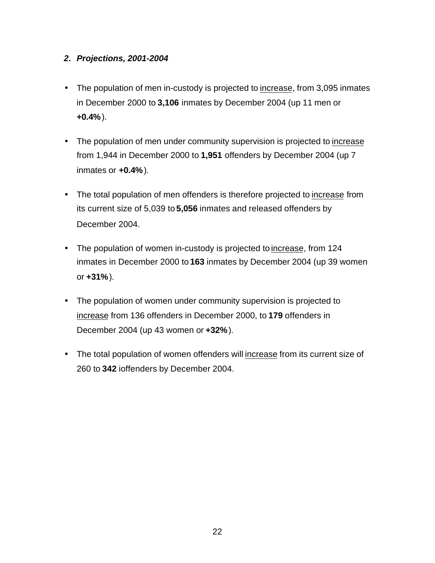# *2. Projections, 2001-2004*

- The population of men in-custody is projected to increase, from 3,095 inmates in December 2000 to **3,106** inmates by December 2004 (up 11 men or **+0.4%**).
- The population of men under community supervision is projected to increase from 1,944 in December 2000 to **1,951** offenders by December 2004 (up 7 inmates or **+0.4%**).
- The total population of men offenders is therefore projected to increase from its current size of 5,039 to **5,056** inmates and released offenders by December 2004.
- The population of women in-custody is projected to increase, from 124 inmates in December 2000 to **163** inmates by December 2004 (up 39 women or **+31%**).
- The population of women under community supervision is projected to increase from 136 offenders in December 2000, to **179** offenders in December 2004 (up 43 women or **+32%**).
- The total population of women offenders will increase from its current size of 260 to **342** ioffenders by December 2004.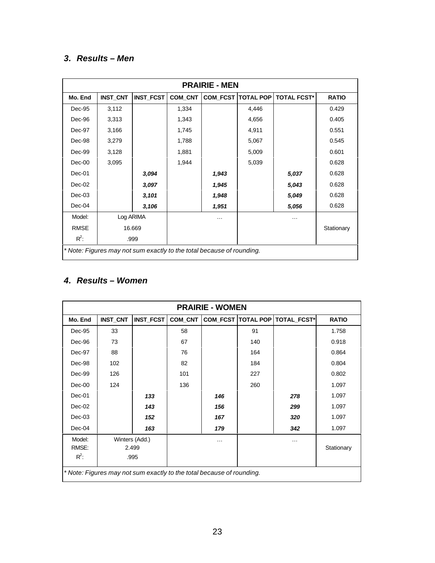# *3. Results – Men*

| <b>PRAIRIE - MEN</b>                                                  |                 |                  |         |          |                               |                    |              |
|-----------------------------------------------------------------------|-----------------|------------------|---------|----------|-------------------------------|--------------------|--------------|
| Mo. End                                                               | <b>INST_CNT</b> | <b>INST_FCST</b> | COM_CNT |          | <b>COM_FCST   TOTAL POP  </b> | <b>TOTAL FCST*</b> | <b>RATIO</b> |
| Dec-95                                                                | 3,112           |                  | 1,334   |          | 4,446                         |                    | 0.429        |
| Dec-96                                                                | 3,313           |                  | 1,343   |          | 4,656                         |                    | 0.405        |
| Dec-97                                                                | 3,166           |                  | 1,745   |          | 4,911                         |                    | 0.551        |
| Dec-98                                                                | 3,279           |                  | 1,788   |          | 5,067                         |                    | 0.545        |
| Dec-99                                                                | 3,128           |                  | 1,881   |          | 5,009                         |                    | 0.601        |
| Dec-00                                                                | 3,095           |                  | 1,944   |          | 5,039                         |                    | 0.628        |
| Dec-01                                                                |                 | 3,094            |         | 1,943    |                               | 5,037              | 0.628        |
| $Dec-02$                                                              |                 | 3,097            |         | 1,945    |                               | 5,043              | 0.628        |
| $Dec-03$                                                              |                 | 3,101            |         | 1,948    |                               | 5,049              | 0.628        |
| Dec-04                                                                |                 | 3,106            |         | 1,951    |                               | 5,056              | 0.628        |
| Model:                                                                | Log ARIMA       |                  |         | $\cdots$ |                               |                    |              |
| <b>RMSE</b>                                                           | 16.669          |                  |         |          |                               |                    | Stationary   |
| $R^2$ :                                                               | .999            |                  |         |          |                               |                    |              |
| * Note: Figures may not sum exactly to the total because of rounding. |                 |                  |         |          |                               |                    |              |

# *4. Results – Women*

| <b>PRAIRIE - WOMEN</b>                                                |                 |                  |         |     |     |                                    |              |  |
|-----------------------------------------------------------------------|-----------------|------------------|---------|-----|-----|------------------------------------|--------------|--|
| Mo. End                                                               | <b>INST_CNT</b> | <b>INST_FCST</b> | COM_CNT |     |     | COM_FCST   TOTAL POP   TOTAL_FCST* | <b>RATIO</b> |  |
| Dec-95                                                                | 33              |                  | 58      |     | 91  |                                    | 1.758        |  |
| Dec-96                                                                | 73              |                  | 67      |     | 140 |                                    | 0.918        |  |
| Dec-97                                                                | 88              |                  | 76      |     | 164 |                                    | 0.864        |  |
| Dec-98                                                                | 102             |                  | 82      |     | 184 |                                    | 0.804        |  |
| Dec-99                                                                | 126             |                  | 101     |     | 227 |                                    | 0.802        |  |
| Dec-00                                                                | 124             |                  | 136     |     | 260 |                                    | 1.097        |  |
| $Dec-01$                                                              |                 | 133              |         | 146 |     | 278                                | 1.097        |  |
| $Dec-02$                                                              |                 | 143              |         | 156 |     | 299                                | 1.097        |  |
| Dec-03                                                                |                 | 152              |         | 167 |     | 320                                | 1.097        |  |
| Dec-04                                                                |                 | 163              |         | 179 |     | 342                                | 1.097        |  |
| Model:                                                                | Winters (Add.)  |                  |         | .   |     | .                                  |              |  |
| RMSE:                                                                 | 2.499           |                  |         |     |     |                                    | Stationary   |  |
| $R^2$ :                                                               |                 | .995             |         |     |     |                                    |              |  |
| * Note: Figures may not sum exactly to the total because of rounding. |                 |                  |         |     |     |                                    |              |  |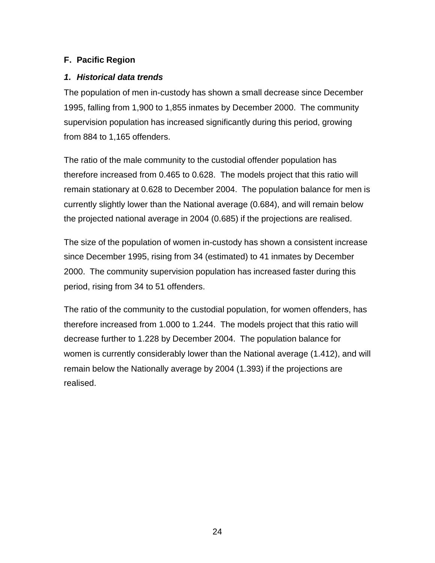# **F. Pacific Region**

### *1. Historical data trends*

The population of men in-custody has shown a small decrease since December 1995, falling from 1,900 to 1,855 inmates by December 2000. The community supervision population has increased significantly during this period, growing from 884 to 1,165 offenders.

The ratio of the male community to the custodial offender population has therefore increased from 0.465 to 0.628. The models project that this ratio will remain stationary at 0.628 to December 2004. The population balance for men is currently slightly lower than the National average (0.684), and will remain below the projected national average in 2004 (0.685) if the projections are realised.

The size of the population of women in-custody has shown a consistent increase since December 1995, rising from 34 (estimated) to 41 inmates by December 2000. The community supervision population has increased faster during this period, rising from 34 to 51 offenders.

The ratio of the community to the custodial population, for women offenders, has therefore increased from 1.000 to 1.244. The models project that this ratio will decrease further to 1.228 by December 2004. The population balance for women is currently considerably lower than the National average (1.412), and will remain below the Nationally average by 2004 (1.393) if the projections are realised.

24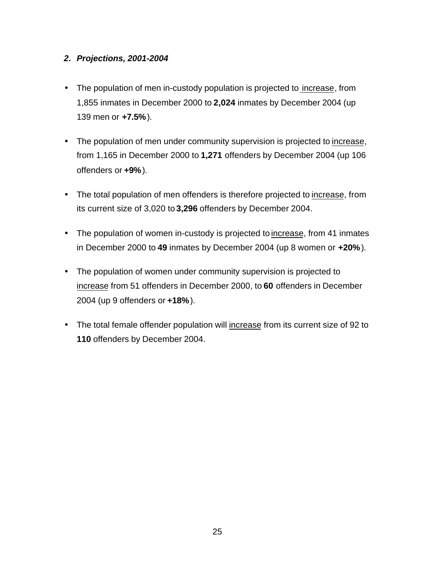### *2. Projections, 2001-2004*

- The population of men in-custody population is projected to increase, from 1,855 inmates in December 2000 to **2,024** inmates by December 2004 (up 139 men or **+7.5%**).
- The population of men under community supervision is projected to increase, from 1,165 in December 2000 to **1,271** offenders by December 2004 (up 106 offenders or **+9%**).
- The total population of men offenders is therefore projected to increase, from its current size of 3,020 to **3,296** offenders by December 2004.
- The population of women in-custody is projected to increase, from 41 inmates in December 2000 to **49** inmates by December 2004 (up 8 women or **+20%**).
- The population of women under community supervision is projected to increase from 51 offenders in December 2000, to **60** offenders in December 2004 (up 9 offenders or **+18%**).
- The total female offender population will increase from its current size of 92 to **110** offenders by December 2004.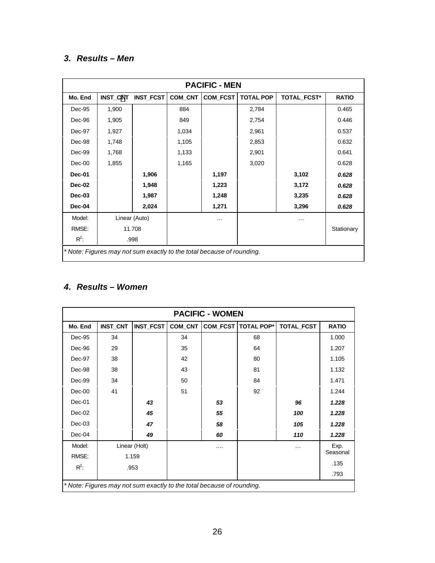# *3. Results – Men*

| <b>PACIFIC - MEN</b>                                                  |               |                  |         |          |                  |             |              |  |
|-----------------------------------------------------------------------|---------------|------------------|---------|----------|------------------|-------------|--------------|--|
| Mo. End                                                               | INST_CNT      | <b>INST_FCST</b> | COM_CNT | COM_FCST | <b>TOTAL POP</b> | TOTAL_FCST* | <b>RATIO</b> |  |
| Dec-95                                                                | 1,900         |                  | 884     |          | 2,784            |             | 0.465        |  |
| Dec-96                                                                | 1,905         |                  | 849     |          | 2,754            |             | 0.446        |  |
| Dec-97                                                                | 1,927         |                  | 1,034   |          | 2,961            |             | 0.537        |  |
| Dec-98                                                                | 1,748         |                  | 1,105   |          | 2,853            |             | 0.632        |  |
| Dec-99                                                                | 1,768         |                  | 1,133   |          | 2,901            |             | 0.641        |  |
| $Dec-00$                                                              | 1,855         |                  | 1,165   |          | 3,020            |             | 0.628        |  |
| <b>Dec-01</b>                                                         |               | 1,906            |         | 1,197    |                  | 3,102       | 0.628        |  |
| Dec-02                                                                |               | 1,948            |         | 1,223    |                  | 3,172       | 0.628        |  |
| Dec-03                                                                |               | 1,987            |         | 1,248    |                  | 3,235       | 0.628        |  |
| Dec-04                                                                |               | 2,024            |         | 1,271    |                  | 3,296       | 0.628        |  |
| Model:                                                                | Linear (Auto) |                  |         | $\cdots$ |                  | .           |              |  |
| RMSE:                                                                 | 11.708        |                  |         |          |                  |             | Stationary   |  |
| $R^2$ :                                                               |               | .998             |         |          |                  |             |              |  |
| * Note: Figures may not sum exactly to the total because of rounding. |               |                  |         |          |                  |             |              |  |

# *4. Results – Women*

| <b>PACIFIC - WOMEN</b>                                                |                 |                  |         |    |                              |            |              |  |
|-----------------------------------------------------------------------|-----------------|------------------|---------|----|------------------------------|------------|--------------|--|
| Mo. End                                                               | <b>INST_CNT</b> | <b>INST_FCST</b> | COM CNT |    | <b>COM FCST   TOTAL POP*</b> | TOTAL_FCST | <b>RATIO</b> |  |
| Dec-95                                                                | 34              |                  | 34      |    | 68                           |            | 1.000        |  |
| Dec-96                                                                | 29              |                  | 35      |    | 64                           |            | 1.207        |  |
| Dec-97                                                                | 38              |                  | 42      |    | 80                           |            | 1.105        |  |
| Dec-98                                                                | 38              |                  | 43      |    | 81                           |            | 1.132        |  |
| Dec-99                                                                | 34              |                  | 50      |    | 84                           |            | 1.471        |  |
| $Dec-00$                                                              | 41              |                  | 51      |    | 92                           |            | 1.244        |  |
| Dec-01                                                                |                 | 43               |         | 53 |                              | 96         | 1.228        |  |
| $Dec-02$                                                              |                 | 45               |         | 55 |                              | 100        | 1.228        |  |
| Dec-03                                                                |                 | 47               |         | 58 |                              | 105        | 1.228        |  |
| $Dec-04$                                                              |                 | 49               |         | 60 |                              | 110        | 1.228        |  |
| Model:                                                                | Linear (Holt)   |                  |         | .  |                              | $\cdots$   | Exp.         |  |
| RMSE:                                                                 | 1.159           |                  |         |    |                              |            | Seasonal     |  |
| $R^2$ :                                                               |                 | .953             |         |    |                              |            | .135         |  |
|                                                                       |                 |                  |         |    |                              |            | .793         |  |
| * Note: Figures may not sum exactly to the total because of rounding. |                 |                  |         |    |                              |            |              |  |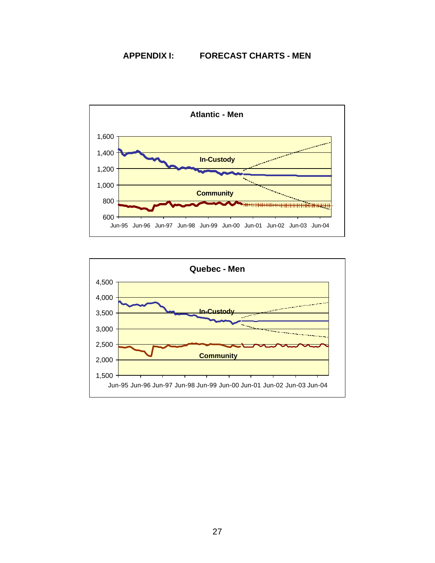#### **APPENDIX I: FORECAST CHARTS - MEN**



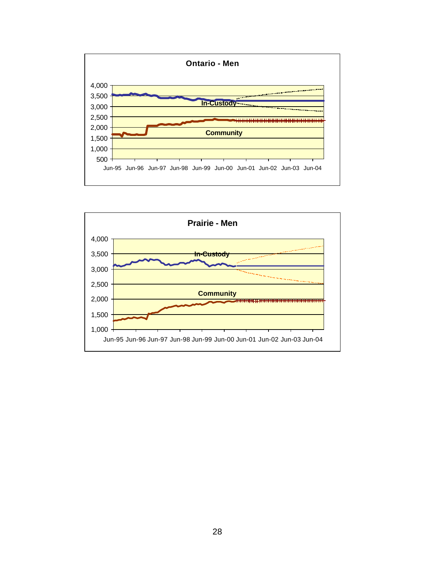

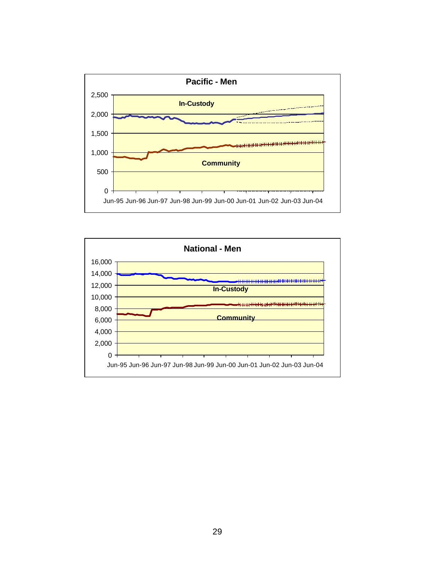

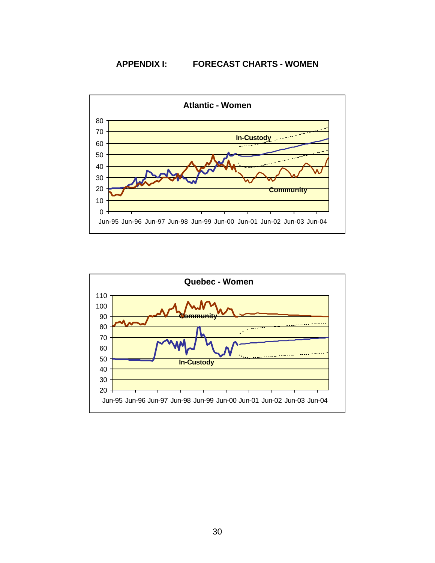**APPENDIX I: FORECAST CHARTS - WOMEN**



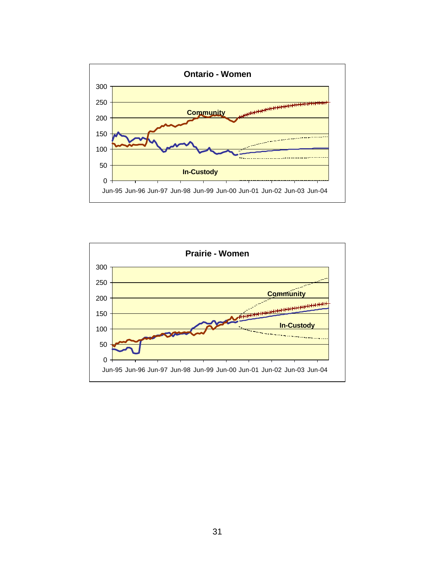